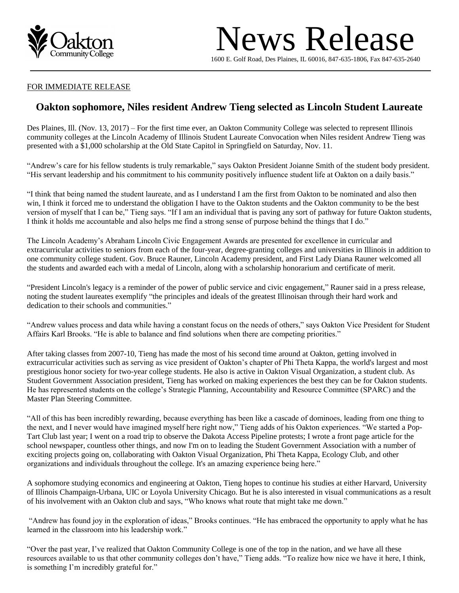

## News Release

16 00 E. Golf Road, Des Plaines, IL 60016, 847-635-1806, Fax 847-635-2640

## FOR IMMEDIATE RELEASE

## **Oakton sophomore, Niles resident Andrew Tieng selected as Lincoln Student Laureate**

Des Plaines, Ill. (Nov. 13, 2017) – For the first time ever, an Oakton Community College was selected to represent Illinois community colleges at the Lincoln Academy of Illinois Student Laureate Convocation when Niles resident Andrew Tieng was presented with a \$1,000 scholarship at the Old State Capitol in Springfield on Saturday, Nov. 11.

"Andrew's care for his fellow students is truly remarkable," says Oakton President Joianne Smith of the student body president. "His servant leadership and his commitment to his community positively influence student life at Oakton on a daily basis."

"I think that being named the student laureate, and as I understand I am the first from Oakton to be nominated and also then win, I think it forced me to understand the obligation I have to the Oakton students and the Oakton community to be the best version of myself that I can be," Tieng says. "If I am an individual that is paving any sort of pathway for future Oakton students, I think it holds me accountable and also helps me find a strong sense of purpose behind the things that I do."

The Lincoln Academy's Abraham Lincoln Civic Engagement Awards are presented for excellence in curricular and extracurricular activities to seniors from each of the four-year, degree-granting colleges and universities in Illinois in addition to one community college student. Gov. Bruce Rauner, Lincoln Academy president, and First Lady Diana Rauner welcomed all the students and awarded each with a medal of Lincoln, along with a scholarship honorarium and certificate of merit.

"President Lincoln's legacy is a reminder of the power of public service and civic engagement," Rauner said in a press release, noting the student laureates exemplify "the principles and ideals of the greatest Illinoisan through their hard work and dedication to their schools and communities."

"Andrew values process and data while having a constant focus on the needs of others," says Oakton Vice President for Student Affairs Karl Brooks. "He is able to balance and find solutions when there are competing priorities."

After taking classes from 2007-10, Tieng has made the most of his second time around at Oakton, getting involved in extracurricular activities such as serving as vice president of Oakton's chapter of Phi Theta Kappa, the world's largest and most prestigious honor society for two-year college students. He also is active in Oakton Visual Organization, a student club. As Student Government Association president, Tieng has worked on making experiences the best they can be for Oakton students. He has represented students on the college's Strategic Planning, Accountability and Resource Committee (SPARC) and the Master Plan Steering Committee.

"All of this has been incredibly rewarding, because everything has been like a cascade of dominoes, leading from one thing to the next, and I never would have imagined myself here right now," Tieng adds of his Oakton experiences. "We started a Pop-Tart Club last year; I went on a road trip to observe the Dakota Access Pipeline protests; I wrote a front page article for the school newspaper, countless other things, and now I'm on to leading the Student Government Association with a number of exciting projects going on, collaborating with Oakton Visual Organization, Phi Theta Kappa, Ecology Club, and other organizations and individuals throughout the college. It's an amazing experience being here."

A sophomore studying economics and engineering at Oakton, Tieng hopes to continue his studies at either Harvard, University of Illinois Champaign-Urbana, UIC or Loyola University Chicago. But he is also interested in visual communications as a result of his involvement with an Oakton club and says, "Who knows what route that might take me down."

"Andrew has found joy in the exploration of ideas," Brooks continues. "He has embraced the opportunity to apply what he has learned in the classroom into his leadership work."

"Over the past year, I've realized that Oakton Community College is one of the top in the nation, and we have all these resources available to us that other community colleges don't have," Tieng adds. "To realize how nice we have it here, I think, is something I'm incredibly grateful for."